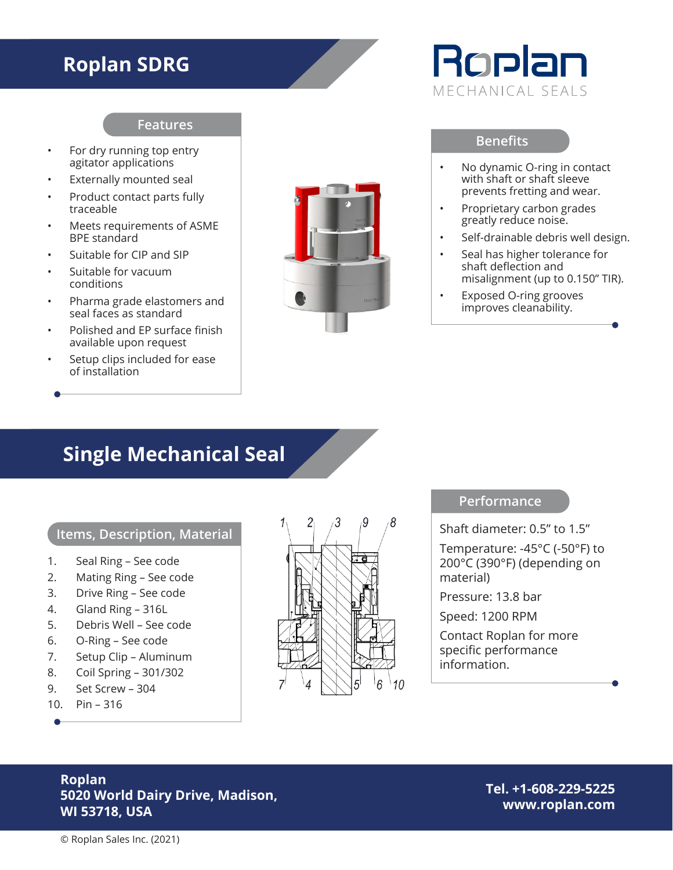## **Roplan SDRG**

#### **Features**

- For dry running top entry agitator applications
- Externally mounted seal
- Product contact parts fully traceable
- Meets requirements of ASME BPE standard
- Suitable for CIP and SIP
- Suitable for vacuum conditions
- Pharma grade elastomers and seal faces as standard
- Polished and EP surface finish available upon request
- Setup clips included for ease of installation



# Roplan MECHANICAL SEALS

#### **Benefits**

- No dynamic O-ring in contact with shaft or shaft sleeve prevents fretting and wear.
- Proprietary carbon grades greatly reduce noise.
- Self-drainable debris well design.
- Seal has higher tolerance for shaft deflection and misalignment (up to 0.150" TIR).
- Exposed O-ring grooves improves cleanability.

### **Single Mechanical Seal**

#### **Items, Description, Material**

- 1. Seal Ring See code
- 2. Mating Ring See code
- 3. Drive Ring See code
- 4. Gland Ring 316L
- 5. Debris Well See code
- 6. O-Ring See code
- 7. Setup Clip Aluminum
- 8. Coil Spring 301/302
- 9. Set Screw 304
- 10. Pin 316



#### **Performance**

Shaft diameter: 0.5" to 1.5"

Temperature: -45°C (-50°F) to 200°C (390°F) (depending on material)

Pressure: 13.8 bar

Speed: 1200 RPM

Contact Roplan for more specific performance information.

#### **Roplan 5020 World Dairy Drive, Madison, WI 53718, USA**

**Tel. +1-608-229-5225 www.roplan.com**